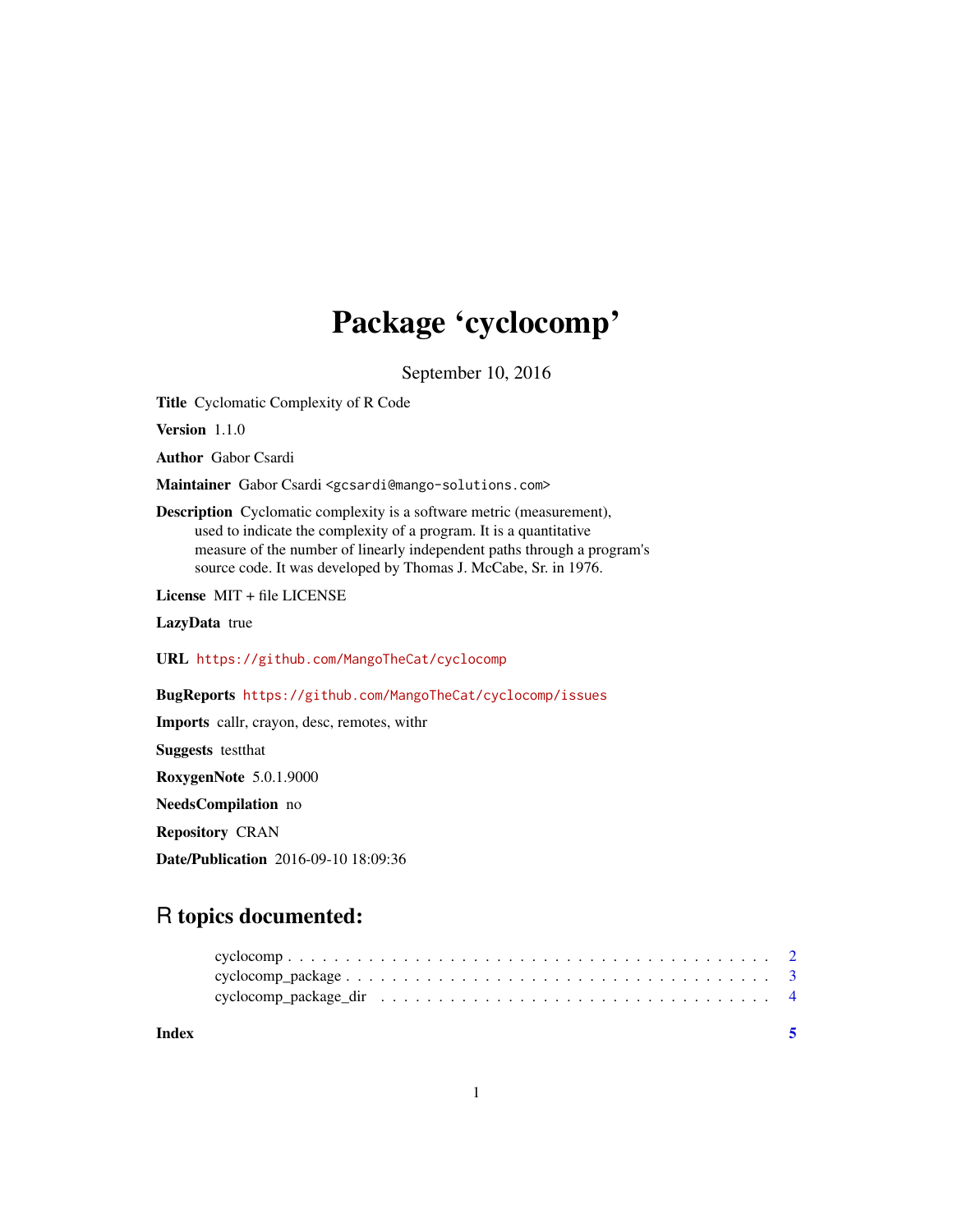## Package 'cyclocomp'

September 10, 2016

Title Cyclomatic Complexity of R Code

Version 1.1.0

Author Gabor Csardi

Maintainer Gabor Csardi <gcsardi@mango-solutions.com>

Description Cyclomatic complexity is a software metric (measurement), used to indicate the complexity of a program. It is a quantitative measure of the number of linearly independent paths through a program's source code. It was developed by Thomas J. McCabe, Sr. in 1976.

License MIT + file LICENSE

LazyData true

URL <https://github.com/MangoTheCat/cyclocomp>

BugReports <https://github.com/MangoTheCat/cyclocomp/issues>

Imports callr, crayon, desc, remotes, withr

Suggests testthat

RoxygenNote 5.0.1.9000

NeedsCompilation no

Repository CRAN

Date/Publication 2016-09-10 18:09:36

### R topics documented:

**Index** [5](#page-4-0). The second state of the second state of the second state of the second state of the second state of the second state of the second state of the second state of the second state of the second state of the second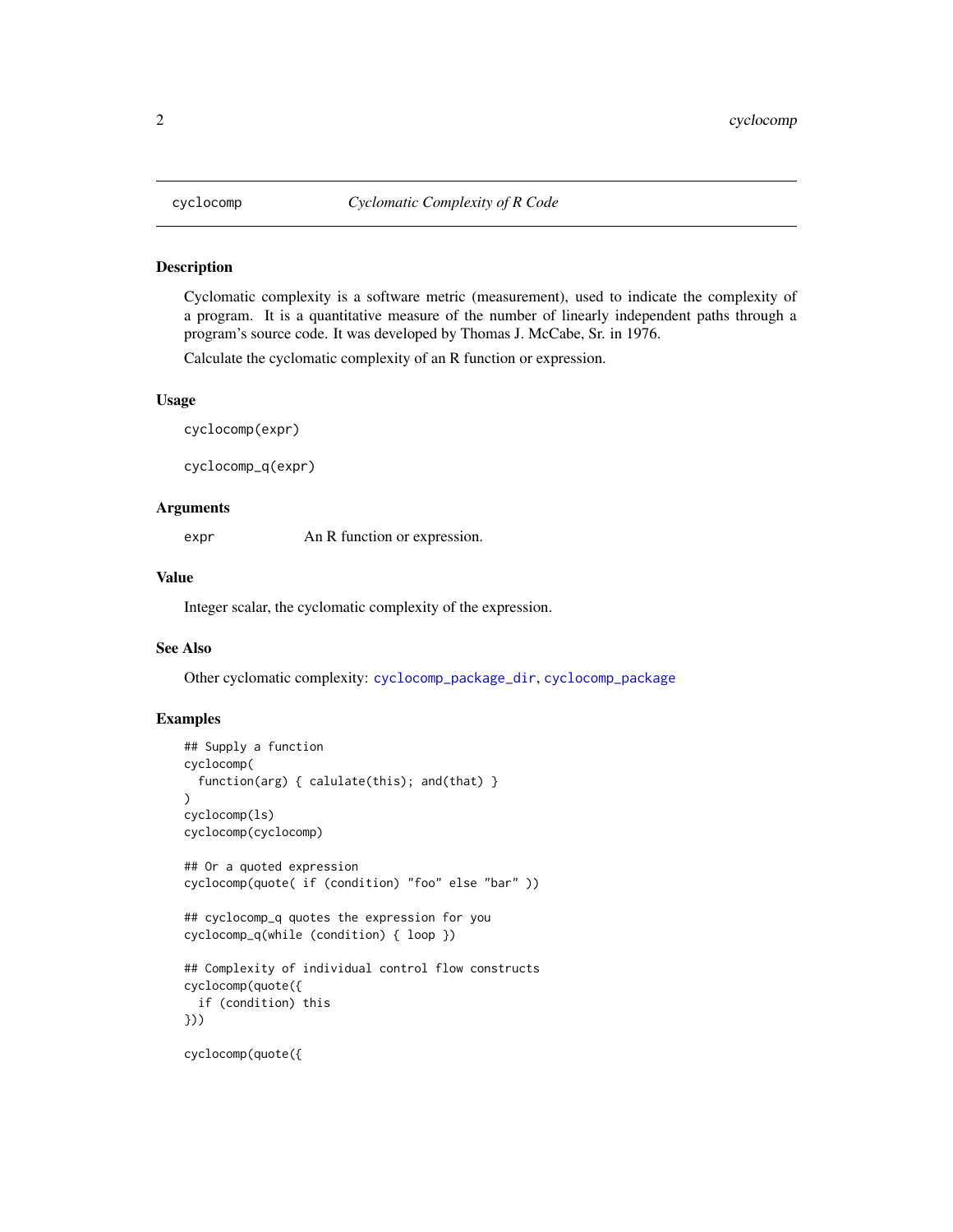<span id="page-1-1"></span><span id="page-1-0"></span>

#### Description

Cyclomatic complexity is a software metric (measurement), used to indicate the complexity of a program. It is a quantitative measure of the number of linearly independent paths through a program's source code. It was developed by Thomas J. McCabe, Sr. in 1976.

Calculate the cyclomatic complexity of an R function or expression.

#### Usage

cyclocomp(expr)

cyclocomp\_q(expr)

#### **Arguments**

expr An R function or expression.

#### Value

Integer scalar, the cyclomatic complexity of the expression.

#### See Also

Other cyclomatic complexity: [cyclocomp\\_package\\_dir](#page-3-1), [cyclocomp\\_package](#page-2-1)

#### Examples

```
## Supply a function
cyclocomp(
 function(arg) { calulate(this); and(that) }
)
cyclocomp(ls)
cyclocomp(cyclocomp)
## Or a quoted expression
cyclocomp(quote( if (condition) "foo" else "bar" ))
## cyclocomp_q quotes the expression for you
cyclocomp_q(while (condition) { loop })
## Complexity of individual control flow constructs
cyclocomp(quote({
 if (condition) this
}))
cyclocomp(quote({
```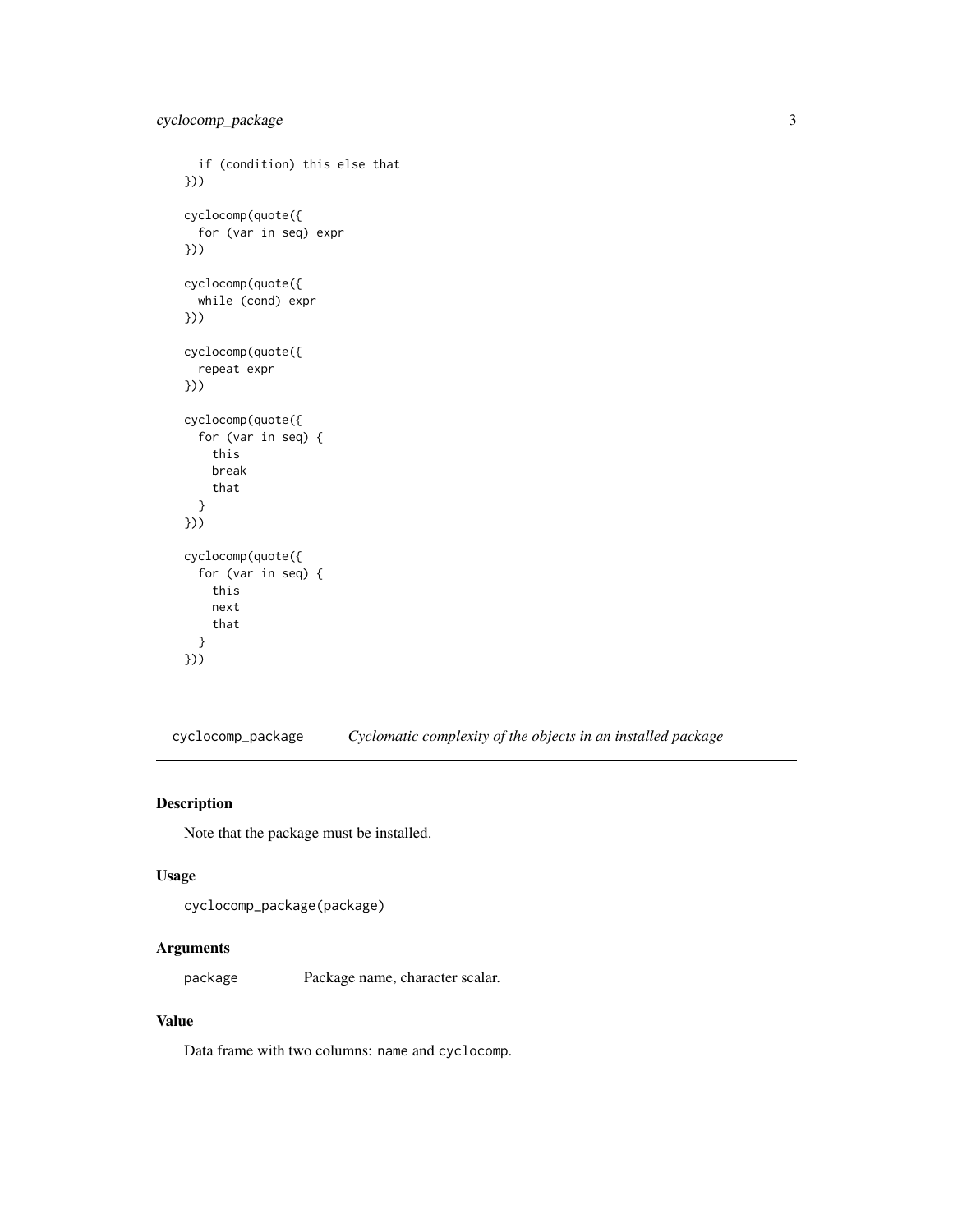```
if (condition) this else that
}))
cyclocomp(quote({
  for (var in seq) expr
}))
cyclocomp(quote({
  while (cond) expr
}))
cyclocomp(quote({
  repeat expr
}))
cyclocomp(quote({
  for (var in seq) {
    this
   break
    that
  }
}))
cyclocomp(quote({
  for (var in seq) {
   this
   next
    that
  }
}))
```
<span id="page-2-1"></span>cyclocomp\_package *Cyclomatic complexity of the objects in an installed package*

#### Description

Note that the package must be installed.

#### Usage

```
cyclocomp_package(package)
```
#### Arguments

package Package name, character scalar.

#### Value

Data frame with two columns: name and cyclocomp.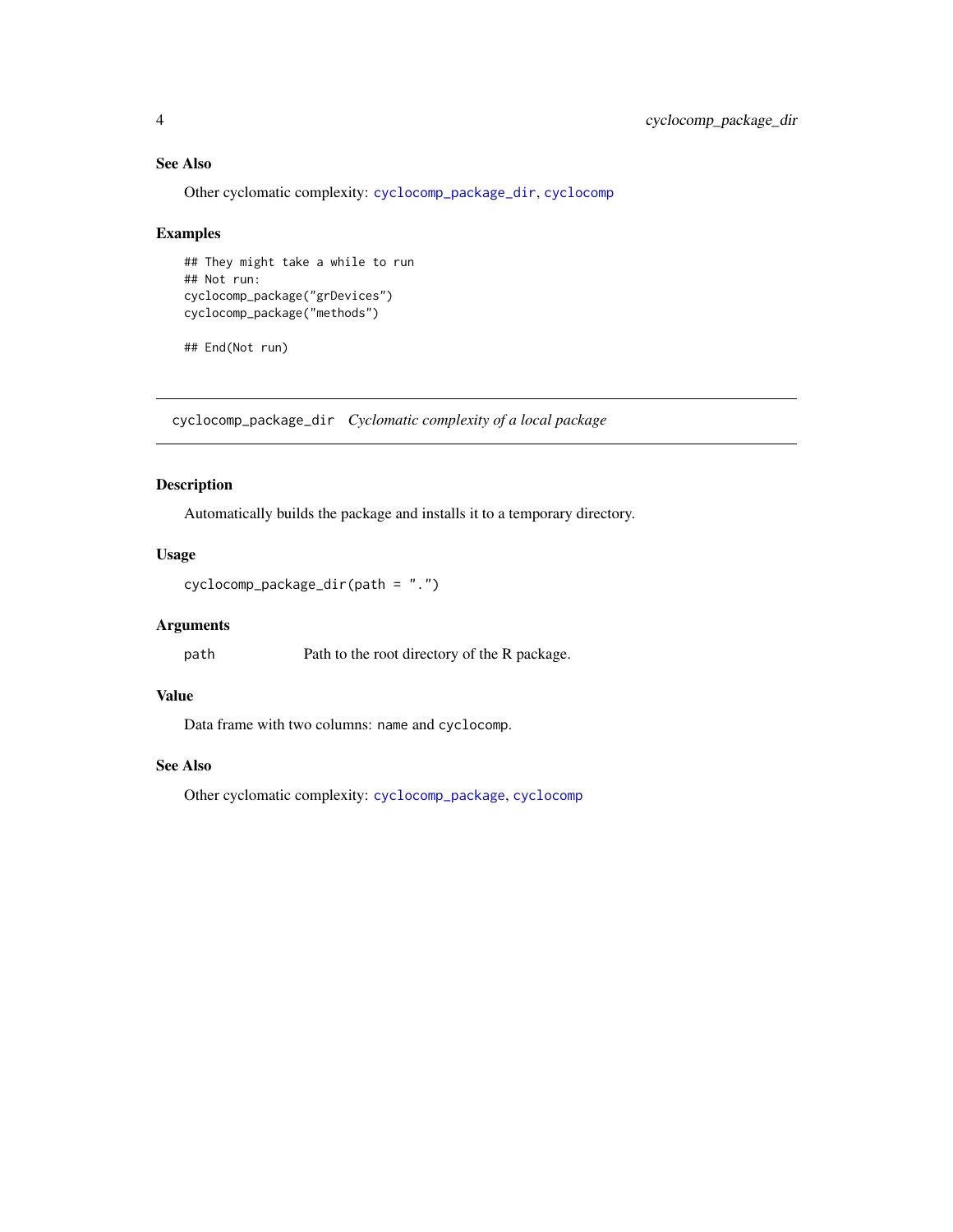#### See Also

Other cyclomatic complexity: [cyclocomp\\_package\\_dir](#page-3-1), [cyclocomp](#page-1-1)

#### Examples

```
## They might take a while to run
## Not run:
cyclocomp_package("grDevices")
cyclocomp_package("methods")
```
## End(Not run)

<span id="page-3-1"></span>cyclocomp\_package\_dir *Cyclomatic complexity of a local package*

#### Description

Automatically builds the package and installs it to a temporary directory.

#### Usage

```
cyclocomp_package_dir(path = ".")
```
#### Arguments

path Path to the root directory of the R package.

#### Value

Data frame with two columns: name and cyclocomp.

#### See Also

Other cyclomatic complexity: [cyclocomp\\_package](#page-2-1), [cyclocomp](#page-1-1)

<span id="page-3-0"></span>